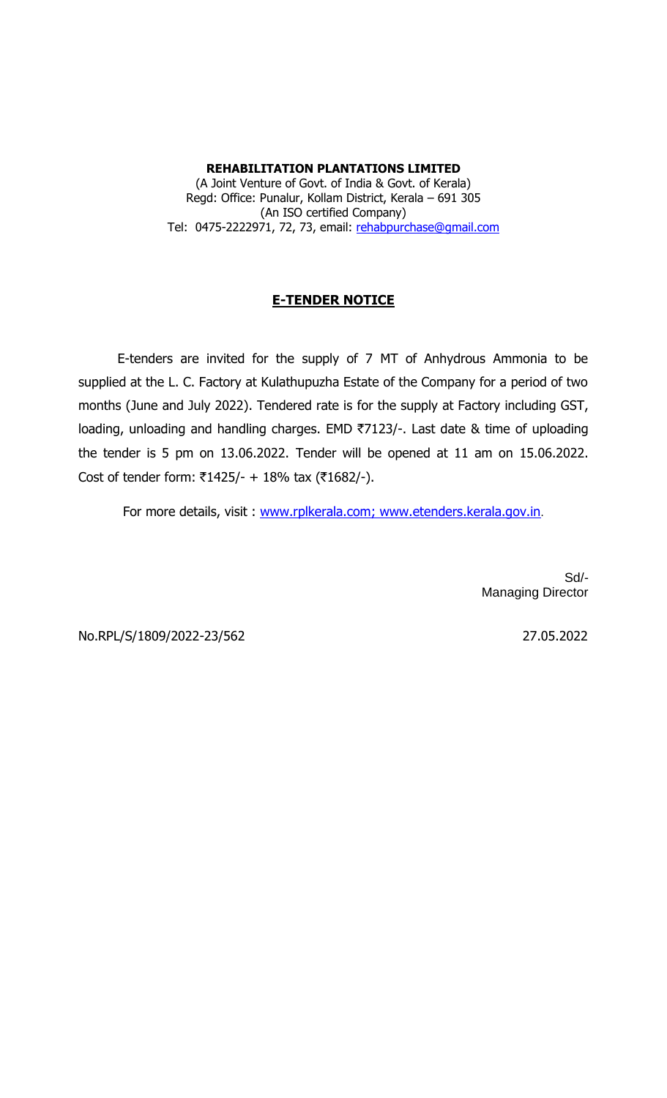**REHABILITATION PLANTATIONS LIMITED** (A Joint Venture of Govt. of India & Govt. of Kerala) Regd: Office: Punalur, Kollam District, Kerala – 691 305 (An ISO certified Company) Tel: 0475-2222971, 72, 73, email: [rehabpurchase@gmail.com](mailto:rehabpurchase@gmail.com)

## **E-TENDER NOTICE**

 E-tenders are invited for the supply of 7 MT of Anhydrous Ammonia to be supplied at the L. C. Factory at Kulathupuzha Estate of the Company for a period of two months (June and July 2022). Tendered rate is for the supply at Factory including GST, loading, unloading and handling charges. EMD ₹7123/-. Last date & time of uploading the tender is 5 pm on 13.06.2022. Tender will be opened at 11 am on 15.06.2022. Cost of tender form: ₹1425/- + 18% tax (₹1682/-).

For more details, visit : www.rplkerala.com; www.etenders.kerala.gov.in.

Sd/- Managing Director

No.RPL/S/1809/2022-23/562 27.05.2022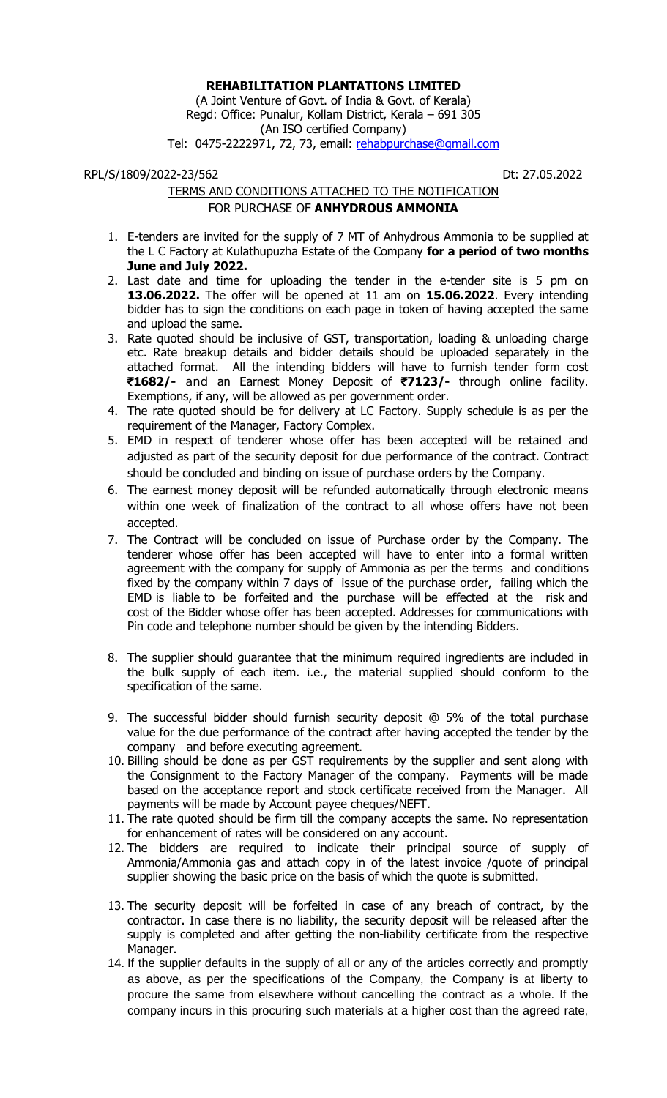## **REHABILITATION PLANTATIONS LIMITED**

(A Joint Venture of Govt. of India & Govt. of Kerala) Regd: Office: Punalur, Kollam District, Kerala – 691 305 (An ISO certified Company) Tel: 0475-2222971, 72, 73, email: [rehabpurchase@gmail.com](mailto:rehabpurchase@gmail.com)

## RPL/S/1809/2022-23/562 Dt: 27.05.2022

## TERMS AND CONDITIONS ATTACHED TO THE NOTIFICATION FOR PURCHASE OF **ANHYDROUS AMMONIA**

- 1. E-tenders are invited for the supply of 7 MT of Anhydrous Ammonia to be supplied at the L C Factory at Kulathupuzha Estate of the Company **for a period of two months June and July 2022.**
- 2. Last date and time for uploading the tender in the e-tender site is 5 pm on **13.06.2022.** The offer will be opened at 11 am on **15.06.2022**. Every intending bidder has to sign the conditions on each page in token of having accepted the same and upload the same.
- 3. Rate quoted should be inclusive of GST, transportation, loading & unloading charge etc. Rate breakup details and bidder details should be uploaded separately in the attached format. All the intending bidders will have to furnish tender form cost `**1682/-** and an Earnest Money Deposit of `**7123/-** through online facility. Exemptions, if any, will be allowed as per government order.
- 4. The rate quoted should be for delivery at LC Factory. Supply schedule is as per the requirement of the Manager, Factory Complex.
- 5. EMD in respect of tenderer whose offer has been accepted will be retained and adjusted as part of the security deposit for due performance of the contract. Contract should be concluded and binding on issue of purchase orders by the Company.
- 6. The earnest money deposit will be refunded automatically through electronic means within one week of finalization of the contract to all whose offers have not been accepted.
- 7. The Contract will be concluded on issue of Purchase order by the Company. The tenderer whose offer has been accepted will have to enter into a formal written agreement with the company for supply of Ammonia as per the terms and conditions fixed by the company within 7 days of issue of the purchase order, failing which the EMD is liable to be forfeited and the purchase will be effected at the risk and cost of the Bidder whose offer has been accepted. Addresses for communications with Pin code and telephone number should be given by the intending Bidders.
- 8. The supplier should guarantee that the minimum required ingredients are included in the bulk supply of each item. i.e., the material supplied should conform to the specification of the same.
- 9. The successful bidder should furnish security deposit @ 5% of the total purchase value for the due performance of the contract after having accepted the tender by the company and before executing agreement.
- 10. Billing should be done as per GST requirements by the supplier and sent along with the Consignment to the Factory Manager of the company. Payments will be made based on the acceptance report and stock certificate received from the Manager. All payments will be made by Account payee cheques/NEFT.
- 11. The rate quoted should be firm till the company accepts the same. No representation for enhancement of rates will be considered on any account.
- 12. The bidders are required to indicate their principal source of supply of Ammonia/Ammonia gas and attach copy in of the latest invoice /quote of principal supplier showing the basic price on the basis of which the quote is submitted.
- 13. The security deposit will be forfeited in case of any breach of contract, by the contractor. In case there is no liability, the security deposit will be released after the supply is completed and after getting the non-liability certificate from the respective Manager.
- 14. If the supplier defaults in the supply of all or any of the articles correctly and promptly as above, as per the specifications of the Company, the Company is at liberty to procure the same from elsewhere without cancelling the contract as a whole. If the company incurs in this procuring such materials at a higher cost than the agreed rate,